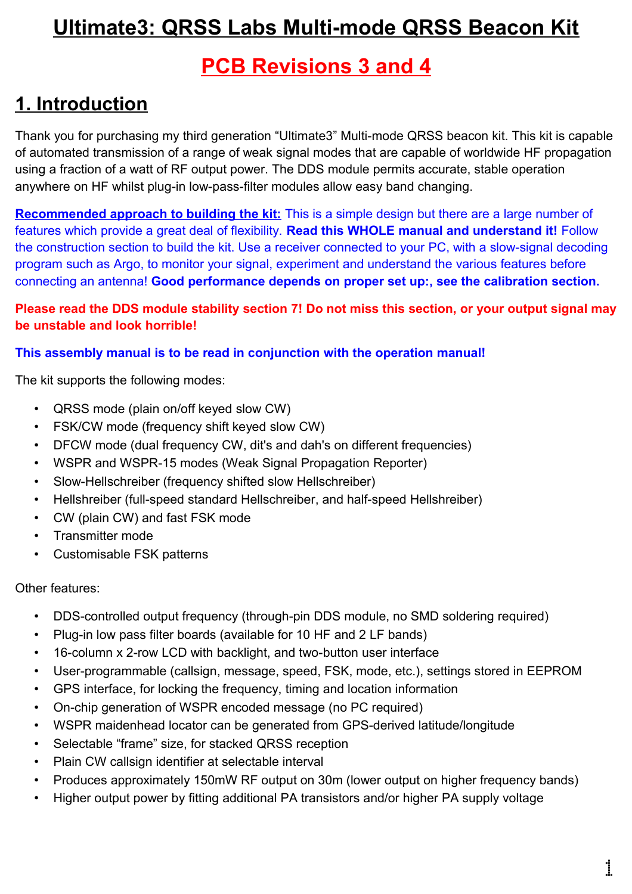# **Ultimate3: QRSS Labs Multi-mode QRSS Beacon Kit**

# **PCB Revisions 3 and 4**

# **1. Introduction**

Thank you for purchasing my third generation "Ultimate3" Multi-mode QRSS beacon kit. This kit is capable of automated transmission of a range of weak signal modes that are capable of worldwide HF propagation using a fraction of a watt of RF output power. The DDS module permits accurate, stable operation anywhere on HF whilst plug-in low-pass-filter modules allow easy band changing.

**Recommended approach to building the kit:** This is a simple design but there are a large number of features which provide a great deal of flexibility. **Read this WHOLE manual and understand it!** Follow the construction section to build the kit. Use a receiver connected to your PC, with a slow-signal decoding program such as Argo, to monitor your signal, experiment and understand the various features before connecting an antenna! **Good performance depends on proper set up:, see the calibration section.**

#### **Please read the DDS module stability section 7! Do not miss this section, or your output signal may be unstable and look horrible!**

#### **This assembly manual is to be read in conjunction with the operation manual!**

The kit supports the following modes:

- QRSS mode (plain on/off keyed slow CW)
- FSK/CW mode (frequency shift keyed slow CW)
- DFCW mode (dual frequency CW, dit's and dah's on different frequencies)
- WSPR and WSPR-15 modes (Weak Signal Propagation Reporter)
- Slow-Hellschreiber (frequency shifted slow Hellschreiber)
- Hellshreiber (full-speed standard Hellschreiber, and half-speed Hellshreiber)
- CW (plain CW) and fast FSK mode
- Transmitter mode
- Customisable FSK patterns

#### Other features:

- DDS-controlled output frequency (through-pin DDS module, no SMD soldering required)
- Plug-in low pass filter boards (available for 10 HF and 2 LF bands)
- 16-column x 2-row LCD with backlight, and two-button user interface
- User-programmable (callsign, message, speed, FSK, mode, etc.), settings stored in EEPROM
- GPS interface, for locking the frequency, timing and location information
- On-chip generation of WSPR encoded message (no PC required)
- WSPR maidenhead locator can be generated from GPS-derived latitude/longitude
- Selectable "frame" size, for stacked QRSS reception
- Plain CW callsign identifier at selectable interval
- Produces approximately 150mW RF output on 30m (lower output on higher frequency bands)
- Higher output power by fitting additional PA transistors and/or higher PA supply voltage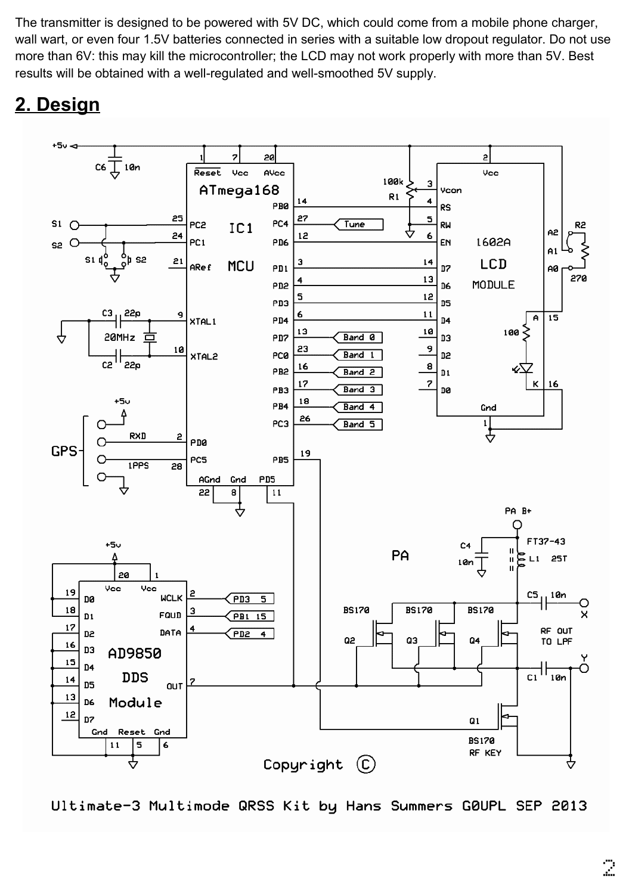The transmitter is designed to be powered with 5V DC, which could come from a mobile phone charger, wall wart, or even four 1.5V batteries connected in series with a suitable low dropout regulator. Do not use more than 6V: this may kill the microcontroller; the LCD may not work properly with more than 5V. Best results will be obtained with a well-regulated and well-smoothed 5V supply.

# **2. Design**



Ultimate-3 Multimode QRSS Kit by Hans Summers G0UPL SEP 2013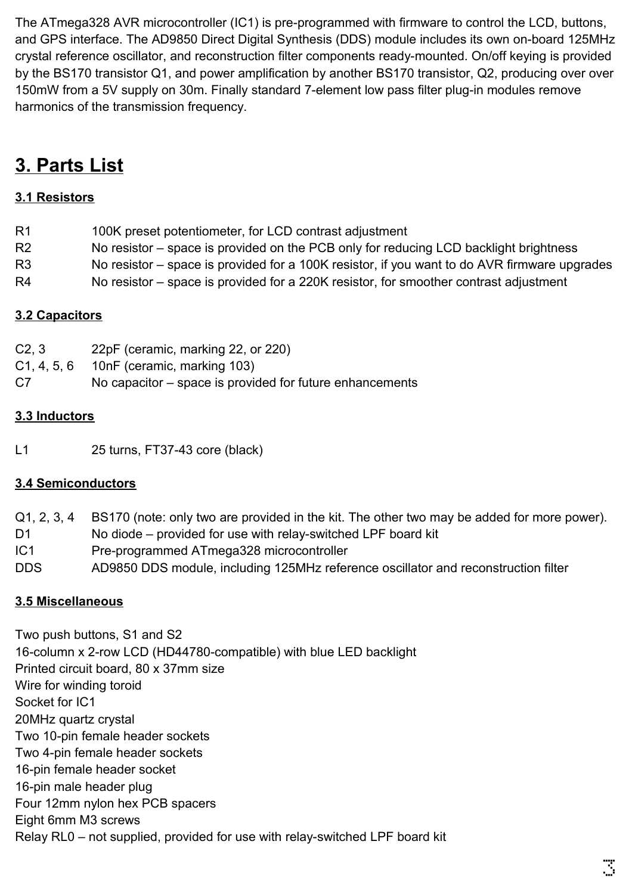The ATmega328 AVR microcontroller (IC1) is pre-programmed with firmware to control the LCD, buttons, and GPS interface. The AD9850 Direct Digital Synthesis (DDS) module includes its own on-board 125MHz crystal reference oscillator, and reconstruction filter components ready-mounted. On/off keying is provided by the BS170 transistor Q1, and power amplification by another BS170 transistor, Q2, producing over over 150mW from a 5V supply on 30m. Finally standard 7-element low pass filter plug-in modules remove harmonics of the transmission frequency.

# **3. Parts List**

### **3.1 Resistors**

| R1             | 100K preset potentiometer, for LCD contrast adjustment                                       |
|----------------|----------------------------------------------------------------------------------------------|
| R <sub>2</sub> | No resistor – space is provided on the PCB only for reducing LCD backlight brightness        |
| R3             | No resistor – space is provided for a 100K resistor, if you want to do AVR firmware upgrades |

R4 No resistor – space is provided for a 220K resistor, for smoother contrast adjustment

### **3.2 Capacitors**

- C2, 3 22pF (ceramic, marking 22, or 220)
- C1, 4, 5, 6 10nF (ceramic, marking 103)
- C7 No capacitor space is provided for future enhancements

### **3.3 Inductors**

L1 25 turns, FT37-43 core (black)

### **3.4 Semiconductors**

- Q1, 2, 3, 4 BS170 (note: only two are provided in the kit. The other two may be added for more power).
- D1 No diode provided for use with relay-switched LPF board kit
- IC1 Pre-programmed ATmega328 microcontroller
- DDS AD9850 DDS module, including 125MHz reference oscillator and reconstruction filter

### **3.5 Miscellaneous**

Two push buttons, S1 and S2 16-column x 2-row LCD (HD44780-compatible) with blue LED backlight Printed circuit board, 80 x 37mm size Wire for winding toroid Socket for IC1 20MHz quartz crystal Two 10-pin female header sockets Two 4-pin female header sockets 16-pin female header socket 16-pin male header plug Four 12mm nylon hex PCB spacers Eight 6mm M3 screws Relay RL0 – not supplied, provided for use with relay-switched LPF board kit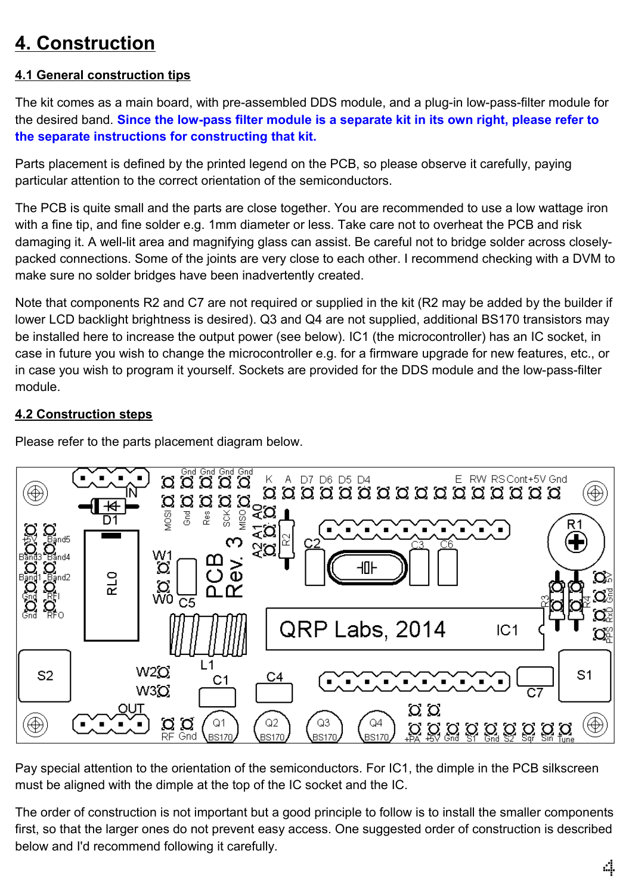# **4. Construction**

#### **4.1 General construction tips**

The kit comes as a main board, with pre-assembled DDS module, and a plug-in low-pass-filter module for the desired band. **Since the low-pass filter module is a separate kit in its own right, please refer to the separate instructions for constructing that kit.**

Parts placement is defined by the printed legend on the PCB, so please observe it carefully, paying particular attention to the correct orientation of the semiconductors.

The PCB is quite small and the parts are close together. You are recommended to use a low wattage iron with a fine tip, and fine solder e.g. 1mm diameter or less. Take care not to overheat the PCB and risk damaging it. A well-lit area and magnifying glass can assist. Be careful not to bridge solder across closelypacked connections. Some of the joints are very close to each other. I recommend checking with a DVM to make sure no solder bridges have been inadvertently created.

Note that components R2 and C7 are not required or supplied in the kit (R2 may be added by the builder if lower LCD backlight brightness is desired). Q3 and Q4 are not supplied, additional BS170 transistors may be installed here to increase the output power (see below). IC1 (the microcontroller) has an IC socket, in case in future you wish to change the microcontroller e.g. for a firmware upgrade for new features, etc., or in case you wish to program it yourself. Sockets are provided for the DDS module and the low-pass-filter module.

#### **4.2 Construction steps**

Please refer to the parts placement diagram below.



Pay special attention to the orientation of the semiconductors. For IC1, the dimple in the PCB silkscreen must be aligned with the dimple at the top of the IC socket and the IC.

The order of construction is not important but a good principle to follow is to install the smaller components first, so that the larger ones do not prevent easy access. One suggested order of construction is described below and I'd recommend following it carefully.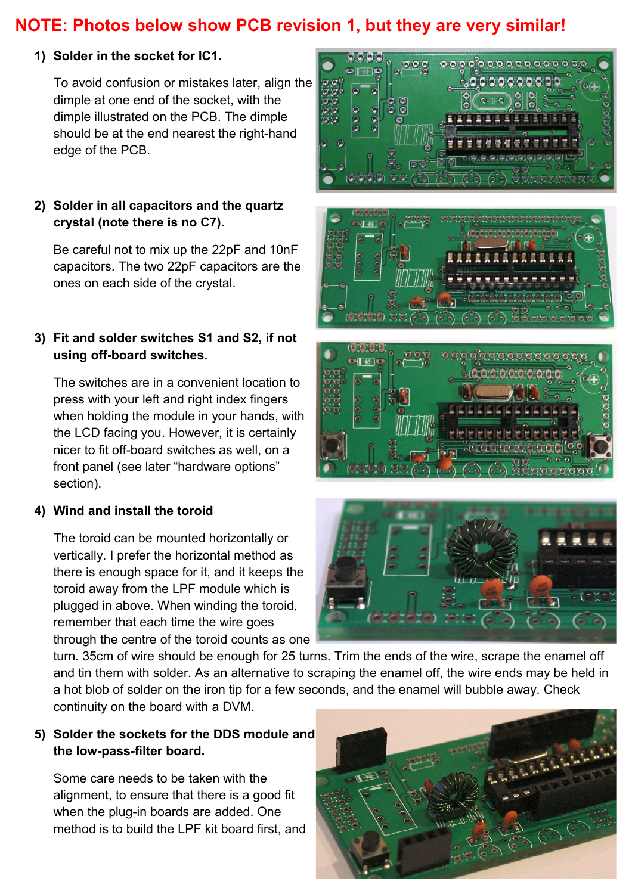### **NOTE: Photos below show PCB revision 1, but they are very similar!**

#### **1) Solder in the socket for IC1.**

To avoid confusion or mistakes later, align the dimple at one end of the socket, with the dimple illustrated on the PCB. The dimple should be at the end nearest the right-hand edge of the PCB.

#### **2) Solder in all capacitors and the quartz crystal (note there is no C7).**

Be careful not to mix up the 22pF and 10nF capacitors. The two 22pF capacitors are the ones on each side of the crystal.

#### **3) Fit and solder switches S1 and S2, if not using off-board switches.**

The switches are in a convenient location to press with your left and right index fingers when holding the module in your hands, with the LCD facing you. However, it is certainly nicer to fit off-board switches as well, on a front panel (see later "hardware options" section).

#### **4) Wind and install the toroid**

The toroid can be mounted horizontally or vertically. I prefer the horizontal method as there is enough space for it, and it keeps the toroid away from the LPF module which is plugged in above. When winding the toroid, remember that each time the wire goes through the centre of the toroid counts as one

000000000







turn. 35cm of wire should be enough for 25 turns. Trim the ends of the wire, scrape the enamel off and tin them with solder. As an alternative to scraping the enamel off, the wire ends may be held in a hot blob of solder on the iron tip for a few seconds, and the enamel will bubble away. Check continuity on the board with a DVM.

#### **5) Solder the sockets for the DDS module and the low-pass-filter board.**

Some care needs to be taken with the alignment, to ensure that there is a good fit when the plug-in boards are added. One method is to build the LPF kit board first, and

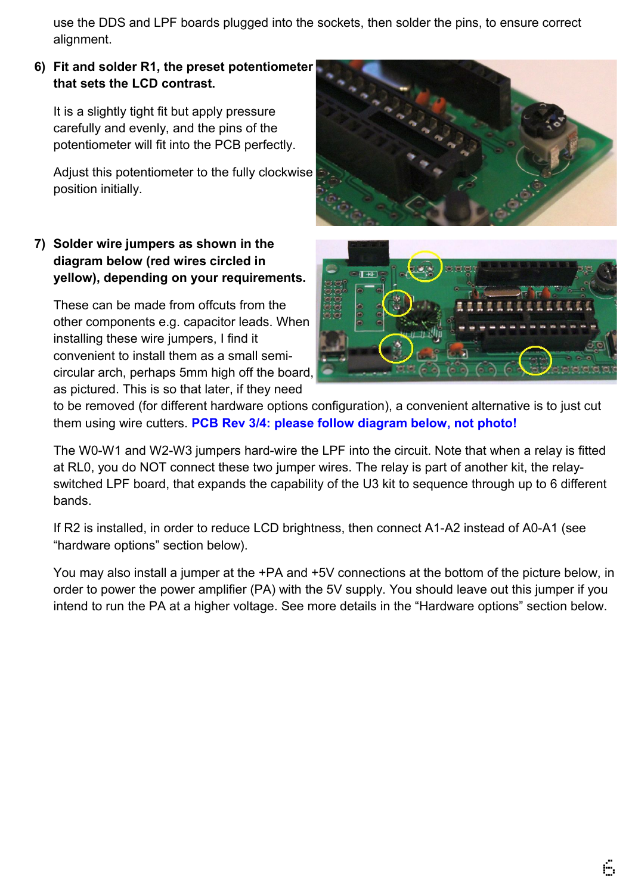use the DDS and LPF boards plugged into the sockets, then solder the pins, to ensure correct alignment.

#### **6) Fit and solder R1, the preset potentiometer that sets the LCD contrast.**

It is a slightly tight fit but apply pressure carefully and evenly, and the pins of the potentiometer will fit into the PCB perfectly.

Adjust this potentiometer to the fully clockwise position initially.

#### **7) Solder wire jumpers as shown in the diagram below (red wires circled in yellow), depending on your requirements.**

These can be made from offcuts from the other components e.g. capacitor leads. When installing these wire jumpers, I find it convenient to install them as a small semicircular arch, perhaps 5mm high off the board, as pictured. This is so that later, if they need





to be removed (for different hardware options configuration), a convenient alternative is to just cut them using wire cutters. **PCB Rev 3/4: please follow diagram below, not photo!**

The W0-W1 and W2-W3 jumpers hard-wire the LPF into the circuit. Note that when a relay is fitted at RL0, you do NOT connect these two jumper wires. The relay is part of another kit, the relayswitched LPF board, that expands the capability of the U3 kit to sequence through up to 6 different bands.

If R2 is installed, in order to reduce LCD brightness, then connect A1-A2 instead of A0-A1 (see "hardware options" section below).

You may also install a jumper at the +PA and +5V connections at the bottom of the picture below, in order to power the power amplifier (PA) with the 5V supply. You should leave out this jumper if you intend to run the PA at a higher voltage. See more details in the "Hardware options" section below.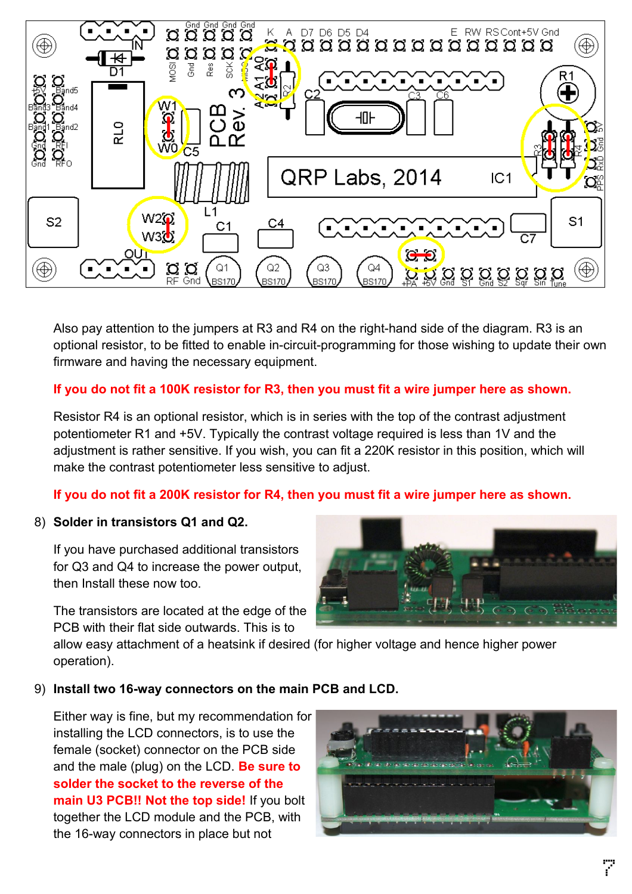

Also pay attention to the jumpers at R3 and R4 on the right-hand side of the diagram. R3 is an optional resistor, to be fitted to enable in-circuit-programming for those wishing to update their own firmware and having the necessary equipment.

#### **If you do not fit a 100K resistor for R3, then you must fit a wire jumper here as shown.**

Resistor R4 is an optional resistor, which is in series with the top of the contrast adjustment potentiometer R1 and +5V. Typically the contrast voltage required is less than 1V and the adjustment is rather sensitive. If you wish, you can fit a 220K resistor in this position, which will make the contrast potentiometer less sensitive to adjust.

#### **If you do not fit a 200K resistor for R4, then you must fit a wire jumper here as shown.**

#### 8) **Solder in transistors Q1 and Q2.**

If you have purchased additional transistors for Q3 and Q4 to increase the power output, then Install these now too.

The transistors are located at the edge of the PCB with their flat side outwards. This is to



allow easy attachment of a heatsink if desired (for higher voltage and hence higher power operation).

#### 9) **Install two 16-way connectors on the main PCB and LCD.**

Either way is fine, but my recommendation for installing the LCD connectors, is to use the female (socket) connector on the PCB side and the male (plug) on the LCD. **Be sure to solder the socket to the reverse of the main U3 PCB!! Not the top side!** If you bolt together the LCD module and the PCB, with the 16-way connectors in place but not

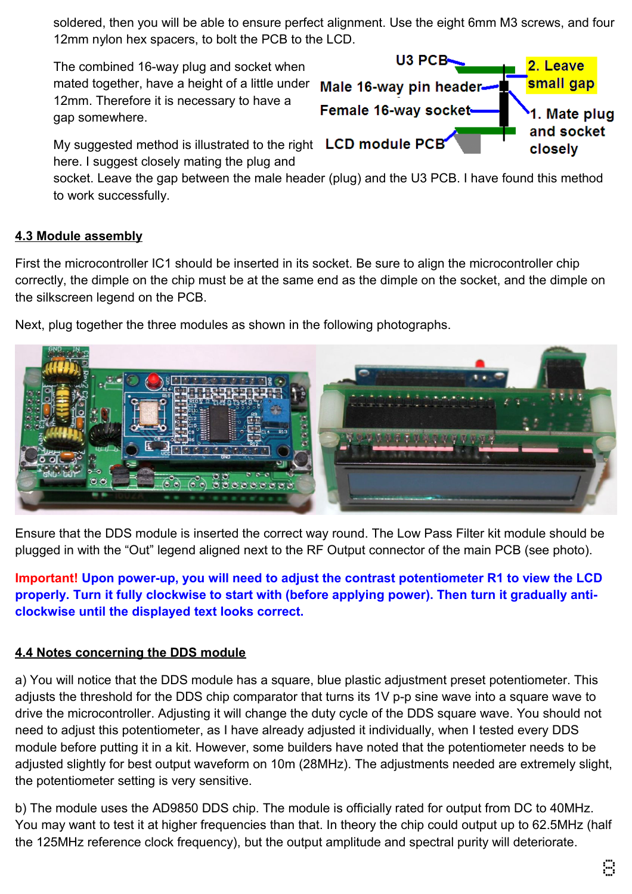soldered, then you will be able to ensure perfect alignment. Use the eight 6mm M3 screws, and four 12mm nylon hex spacers, to bolt the PCB to the LCD.

The combined 16-way plug and socket when mated together, have a height of a little under 12mm. Therefore it is necessary to have a gap somewhere.



My suggested method is illustrated to the right LCD module PCB here. I suggest closely mating the plug and

socket. Leave the gap between the male header (plug) and the U3 PCB. I have found this method to work successfully.

#### **4.3 Module assembly**

First the microcontroller IC1 should be inserted in its socket. Be sure to align the microcontroller chip correctly, the dimple on the chip must be at the same end as the dimple on the socket, and the dimple on the silkscreen legend on the PCB.



Next, plug together the three modules as shown in the following photographs.

Ensure that the DDS module is inserted the correct way round. The Low Pass Filter kit module should be plugged in with the "Out" legend aligned next to the RF Output connector of the main PCB (see photo).

**Important! Upon power-up, you will need to adjust the contrast potentiometer R1 to view the LCD properly. Turn it fully clockwise to start with (before applying power). Then turn it gradually anticlockwise until the displayed text looks correct.**

#### **4.4 Notes concerning the DDS module**

a) You will notice that the DDS module has a square, blue plastic adjustment preset potentiometer. This adjusts the threshold for the DDS chip comparator that turns its 1V p-p sine wave into a square wave to drive the microcontroller. Adjusting it will change the duty cycle of the DDS square wave. You should not need to adjust this potentiometer, as I have already adjusted it individually, when I tested every DDS module before putting it in a kit. However, some builders have noted that the potentiometer needs to be adjusted slightly for best output waveform on 10m (28MHz). The adjustments needed are extremely slight, the potentiometer setting is very sensitive.

b) The module uses the AD9850 DDS chip. The module is officially rated for output from DC to 40MHz. You may want to test it at higher frequencies than that. In theory the chip could output up to 62.5MHz (half the 125MHz reference clock frequency), but the output amplitude and spectral purity will deteriorate.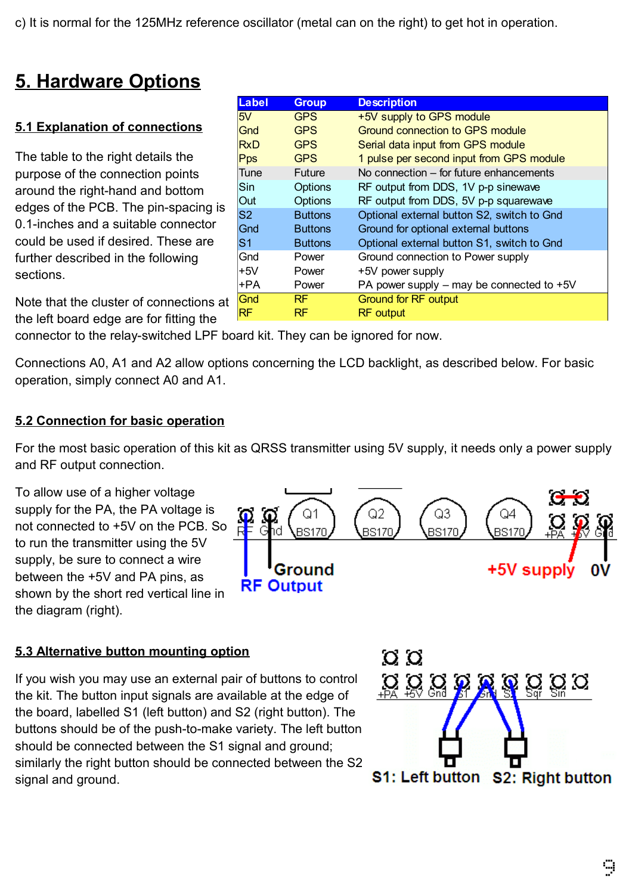c) It is normal for the 125MHz reference oscillator (metal can on the right) to get hot in operation.

# **5. Hardware Options**

### **5.1 Explanation of connections**

The table to the right details the purpose of the connection points around the right-hand and edges of the PCB. The pin-0.1-inches and a suitable of could be used if desired. The further described in the foll sections.

| bottom       | Sin            | Options        | RF output from DDS, 1V p-p sinewave           |
|--------------|----------------|----------------|-----------------------------------------------|
|              | <b>Out</b>     | Options        | RF output from DDS, 5V p-p squarewave         |
| -spacing is  | S <sub>2</sub> | <b>Buttons</b> | Optional external button S2, switch to Gnd    |
| connector    | Gnd            | <b>Buttons</b> | Ground for optional external buttons          |
| hese are     | lS1            | <b>Buttons</b> | Optional external button S1, switch to Gnd    |
| lowing       | lGnd           | Power          | Ground connection to Power supply             |
|              | $+5V$          | Power          | +5V power supply                              |
|              | +PA            | Power          | PA power supply $-$ may be connected to $+5V$ |
| าnections at | Gnd            | <b>RF</b>      | <b>Ground for RF output</b>                   |
| $fitino$ the | IRF            | RF             | <b>RF</b> output                              |

**Label Group Description**

5V GPS +5V supply to GPS module

Gnd GPS Ground connection to GPS module RxD GPS Serial data input from GPS module

Pps GPS 1 pulse per second input from GPS module Tune Future No connection – for future enhancements

Note that the cluster of connections at the connections and connect that the connections are  $\alpha$ the left board edge are for fitting the

connector to the relay-switched LPF board kit. They can be ignored for now.

Connections A0, A1 and A2 allow options concerning the LCD backlight, as described below. For basic operation, simply connect A0 and A1.

#### **5.2 Connection for basic operation**

For the most basic operation of this kit as QRSS transmitter using 5V supply, it needs only a power supply and RF output connection.

To allow use of a higher voltage supply for the PA, the PA voltage is not connected to +5V on the PCB. So to run the transmitter using the 5V supply, be sure to connect a wire between the +5V and PA pins, as shown by the short red vertical line in the diagram (right).



#### **5.3 Alternative button mounting option**

If you wish you may use an external pair of buttons to control the kit. The button input signals are available at the edge of the board, labelled S1 (left button) and S2 (right button). The buttons should be of the push-to-make variety. The left button should be connected between the S1 signal and ground; similarly the right button should be connected between the S2 signal and ground.

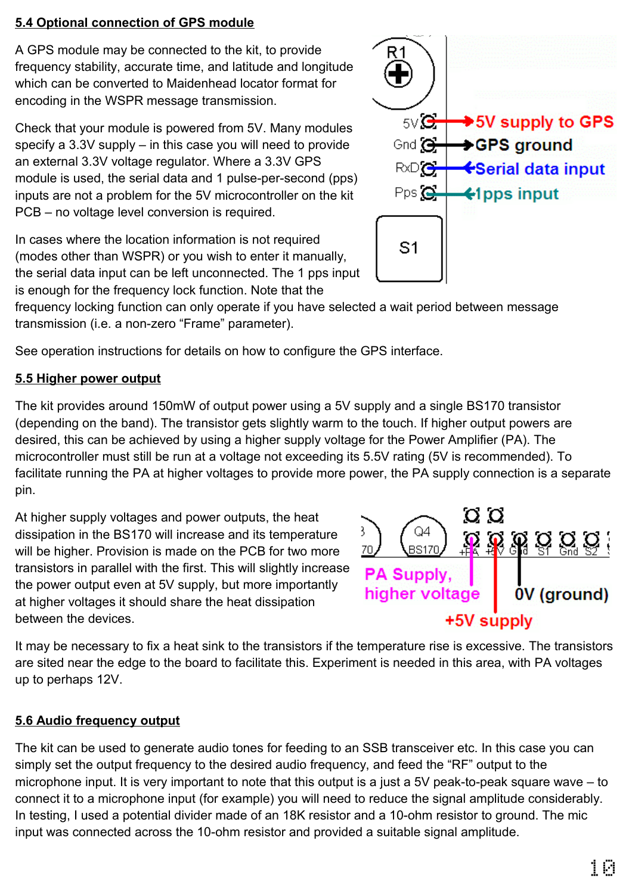#### **5.4 Optional connection of GPS module**

A GPS module may be connected to the kit, to provide frequency stability, accurate time, and latitude and longitude which can be converted to Maidenhead locator format for encoding in the WSPR message transmission.

Check that your module is powered from 5V. Many modules specify a 3.3V supply – in this case you will need to provide an external 3.3V voltage regulator. Where a 3.3V GPS module is used, the serial data and 1 pulse-per-second (pps) inputs are not a problem for the 5V microcontroller on the kit PCB – no voltage level conversion is required.

In cases where the location information is not required (modes other than WSPR) or you wish to enter it manually, the serial data input can be left unconnected. The 1 pps input is enough for the frequency lock function. Note that the

frequency locking function can only operate if you have selected a wait period between message transmission (i.e. a non-zero "Frame" parameter).

See operation instructions for details on how to configure the GPS interface.

### **5.5 Higher power output**

The kit provides around 150mW of output power using a 5V supply and a single BS170 transistor (depending on the band). The transistor gets slightly warm to the touch. If higher output powers are desired, this can be achieved by using a higher supply voltage for the Power Amplifier (PA). The microcontroller must still be run at a voltage not exceeding its 5.5V rating (5V is recommended). To facilitate running the PA at higher voltages to provide more power, the PA supply connection is a separate pin.

At higher supply voltages and power outputs, the heat dissipation in the BS170 will increase and its temperature will be higher. Provision is made on the PCB for two more transistors in parallel with the first. This will slightly increase the power output even at 5V supply, but more importantly at higher voltages it should share the heat dissipation between the devices.

It may be necessary to fix a heat sink to the transistors if the temperature rise is excessive. The transistors are sited near the edge to the board to facilitate this. Experiment is needed in this area, with PA voltages up to perhaps 12V.

### **5.6 Audio frequency output**

The kit can be used to generate audio tones for feeding to an SSB transceiver etc. In this case you can simply set the output frequency to the desired audio frequency, and feed the "RF" output to the microphone input. It is very important to note that this output is a just a 5V peak-to-peak square wave – to connect it to a microphone input (for example) you will need to reduce the signal amplitude considerably. In testing, I used a potential divider made of an 18K resistor and a 10-ohm resistor to ground. The mic input was connected across the 10-ohm resistor and provided a suitable signal amplitude.



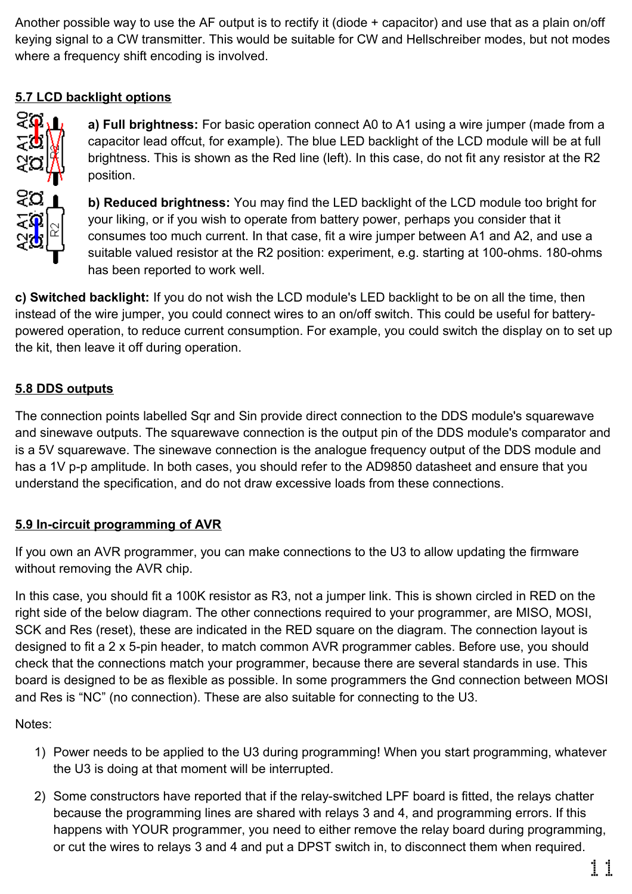Another possible way to use the AF output is to rectify it (diode + capacitor) and use that as a plain on/off keying signal to a CW transmitter. This would be suitable for CW and Hellschreiber modes, but not modes where a frequency shift encoding is involved.

### **5.7 LCD backlight options**



**a) Full brightness:** For basic operation connect A0 to A1 using a wire jumper (made from a capacitor lead offcut, for example). The blue LED backlight of the LCD module will be at full brightness. This is shown as the Red line (left). In this case, do not fit any resistor at the R2 position.

**b) Reduced brightness:** You may find the LED backlight of the LCD module too bright for your liking, or if you wish to operate from battery power, perhaps you consider that it consumes too much current. In that case, fit a wire jumper between A1 and A2, and use a suitable valued resistor at the R2 position: experiment, e.g. starting at 100-ohms. 180-ohms has been reported to work well.

**c) Switched backlight:** If you do not wish the LCD module's LED backlight to be on all the time, then instead of the wire jumper, you could connect wires to an on/off switch. This could be useful for batterypowered operation, to reduce current consumption. For example, you could switch the display on to set up the kit, then leave it off during operation.

#### **5.8 DDS outputs**

The connection points labelled Sqr and Sin provide direct connection to the DDS module's squarewave and sinewave outputs. The squarewave connection is the output pin of the DDS module's comparator and is a 5V squarewave. The sinewave connection is the analogue frequency output of the DDS module and has a 1V p-p amplitude. In both cases, you should refer to the AD9850 datasheet and ensure that you understand the specification, and do not draw excessive loads from these connections.

### **5.9 In-circuit programming of AVR**

If you own an AVR programmer, you can make connections to the U3 to allow updating the firmware without removing the AVR chip.

In this case, you should fit a 100K resistor as R3, not a jumper link. This is shown circled in RED on the right side of the below diagram. The other connections required to your programmer, are MISO, MOSI, SCK and Res (reset), these are indicated in the RED square on the diagram. The connection layout is designed to fit a 2 x 5-pin header, to match common AVR programmer cables. Before use, you should check that the connections match your programmer, because there are several standards in use. This board is designed to be as flexible as possible. In some programmers the Gnd connection between MOSI and Res is "NC" (no connection). These are also suitable for connecting to the U3.

Notes:

- 1) Power needs to be applied to the U3 during programming! When you start programming, whatever the U3 is doing at that moment will be interrupted.
- 2) Some constructors have reported that if the relay-switched LPF board is fitted, the relays chatter because the programming lines are shared with relays 3 and 4, and programming errors. If this happens with YOUR programmer, you need to either remove the relay board during programming, or cut the wires to relays 3 and 4 and put a DPST switch in, to disconnect them when required.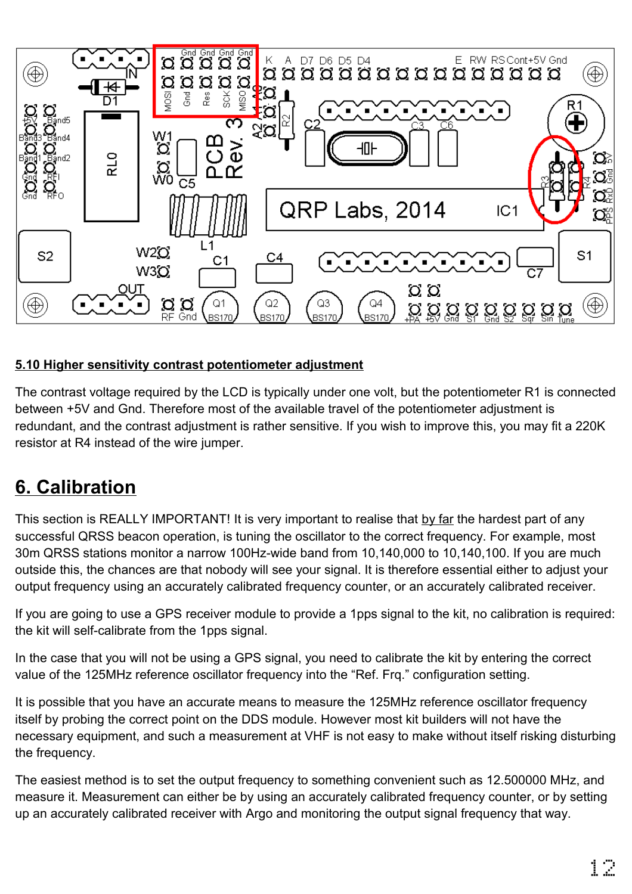

#### **5.10 Higher sensitivity contrast potentiometer adjustment**

The contrast voltage required by the LCD is typically under one volt, but the potentiometer R1 is connected between +5V and Gnd. Therefore most of the available travel of the potentiometer adjustment is redundant, and the contrast adjustment is rather sensitive. If you wish to improve this, you may fit a 220K resistor at R4 instead of the wire jumper.

## **6. Calibration**

This section is REALLY IMPORTANT! It is very important to realise that by far the hardest part of any successful QRSS beacon operation, is tuning the oscillator to the correct frequency. For example, most 30m QRSS stations monitor a narrow 100Hz-wide band from 10,140,000 to 10,140,100. If you are much outside this, the chances are that nobody will see your signal. It is therefore essential either to adjust your output frequency using an accurately calibrated frequency counter, or an accurately calibrated receiver.

If you are going to use a GPS receiver module to provide a 1pps signal to the kit, no calibration is required: the kit will self-calibrate from the 1pps signal.

In the case that you will not be using a GPS signal, you need to calibrate the kit by entering the correct value of the 125MHz reference oscillator frequency into the "Ref. Frq." configuration setting.

It is possible that you have an accurate means to measure the 125MHz reference oscillator frequency itself by probing the correct point on the DDS module. However most kit builders will not have the necessary equipment, and such a measurement at VHF is not easy to make without itself risking disturbing the frequency.

The easiest method is to set the output frequency to something convenient such as 12.500000 MHz, and measure it. Measurement can either be by using an accurately calibrated frequency counter, or by setting up an accurately calibrated receiver with Argo and monitoring the output signal frequency that way.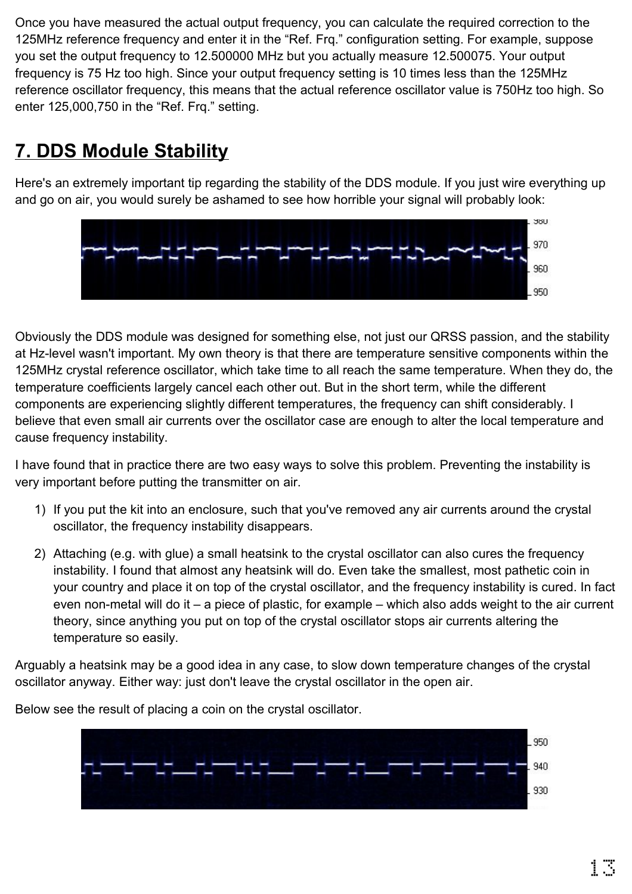Once you have measured the actual output frequency, you can calculate the required correction to the 125MHz reference frequency and enter it in the "Ref. Frq." configuration setting. For example, suppose you set the output frequency to 12.500000 MHz but you actually measure 12.500075. Your output frequency is 75 Hz too high. Since your output frequency setting is 10 times less than the 125MHz reference oscillator frequency, this means that the actual reference oscillator value is 750Hz too high. So enter 125,000,750 in the "Ref. Frq." setting.

# **7. DDS Module Stability**

Here's an extremely important tip regarding the stability of the DDS module. If you just wire everything up and go on air, you would surely be ashamed to see how horrible your signal will probably look:



Obviously the DDS module was designed for something else, not just our QRSS passion, and the stability at Hz-level wasn't important. My own theory is that there are temperature sensitive components within the 125MHz crystal reference oscillator, which take time to all reach the same temperature. When they do, the temperature coefficients largely cancel each other out. But in the short term, while the different components are experiencing slightly different temperatures, the frequency can shift considerably. I believe that even small air currents over the oscillator case are enough to alter the local temperature and cause frequency instability.

I have found that in practice there are two easy ways to solve this problem. Preventing the instability is very important before putting the transmitter on air.

- 1) If you put the kit into an enclosure, such that you've removed any air currents around the crystal oscillator, the frequency instability disappears.
- 2) Attaching (e.g. with glue) a small heatsink to the crystal oscillator can also cures the frequency instability. I found that almost any heatsink will do. Even take the smallest, most pathetic coin in your country and place it on top of the crystal oscillator, and the frequency instability is cured. In fact even non-metal will do it – a piece of plastic, for example – which also adds weight to the air current theory, since anything you put on top of the crystal oscillator stops air currents altering the temperature so easily.

Arguably a heatsink may be a good idea in any case, to slow down temperature changes of the crystal oscillator anyway. Either way: just don't leave the crystal oscillator in the open air.

> 950 940 930

Below see the result of placing a coin on the crystal oscillator.